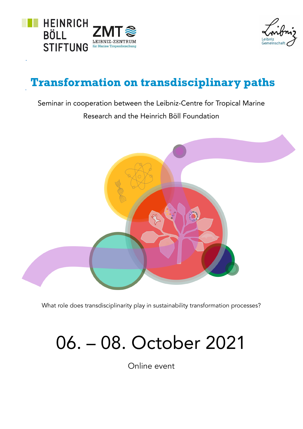



## Transformation on transdisciplinary paths

Seminar in cooperation between the Leibniz-Centre for Tropical Marine Research and the Heinrich Böll Foundation



What role does transdisciplinarity play in sustainability transformation processes?

## 06. – 08. October 2021

Online event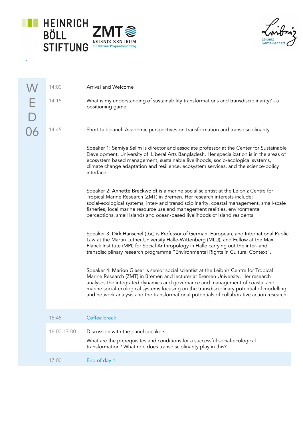

à,

Leibniz<br>Gemeinschaft

|   | 14:00       | Arrival and Welcome                                                                                                                                                                                                                                                                                                                                                                                                                                   |
|---|-------------|-------------------------------------------------------------------------------------------------------------------------------------------------------------------------------------------------------------------------------------------------------------------------------------------------------------------------------------------------------------------------------------------------------------------------------------------------------|
| E | 14:15       | What is my understanding of sustainability transformations and transdisciplinarity? - a<br>positioning game                                                                                                                                                                                                                                                                                                                                           |
|   | 14:45       | Short talk panel: Academic perspectives on transformation and transdisciplinarity                                                                                                                                                                                                                                                                                                                                                                     |
|   |             | Speaker 1: Samiya Selim is director and associate professor at the Center for Sustainable<br>Development, University of Liberal Arts Bangladesh. Her specialization is in the areas of<br>ecosystem based management, sustainable livelihoods, socio-ecological systems,<br>climate change adaptation and resilience, ecosystem services, and the science-policy<br>interface.                                                                        |
|   |             | Speaker 2: Annette Breckwoldt is a marine social scientist at the Leibniz Centre for<br>Tropical Marine Research (ZMT) in Bremen. Her research interests include:<br>social-ecological systems, inter- and transdisciplinarity, coastal management, small-scale<br>fisheries, local marine resource use and management realities, environmental<br>perceptions, small islands and ocean-based livelihoods of island residents.                        |
|   |             | Speaker 3: Dirk Hanschel (tbc) is Professor of German, European, and International Public<br>Law at the Martin Luther University Halle-Wittenberg (MLU), and Fellow at the Max<br>Planck Institute (MPI) for Social Anthropology in Halle carrying out the inter- and<br>transdisciplinary research programme "Environmental Rights in Cultural Context".                                                                                             |
|   |             | Speaker 4: Marion Glaser is senior social scientist at the Leibniz Centre for Tropical<br>Marine Research (ZMT) in Bremen and lecturer at Bremen University. Her research<br>analyses the integrated dynamics and governance and management of coastal and<br>marine social-ecological systems focusing on the transdisciplinary potential of modelling<br>and network analysis and the transformational potentials of collaborative action research. |
|   | 15:45       | Coffee break                                                                                                                                                                                                                                                                                                                                                                                                                                          |
|   | 16:00-17:00 | Discussion with the panel speakers<br>What are the prerequisites and conditions for a successful social-ecological<br>transformation? What role does transdisciplinarity play in this?                                                                                                                                                                                                                                                                |
|   | 17:00       | End of day 1                                                                                                                                                                                                                                                                                                                                                                                                                                          |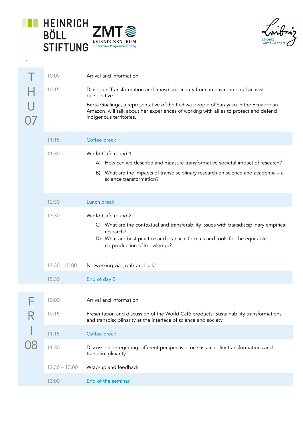

è

Leibniz<br>Gemeinschaft

|    | 10:00           | Arrival and information                                                                                                                                                                                                                                                                                  |
|----|-----------------|----------------------------------------------------------------------------------------------------------------------------------------------------------------------------------------------------------------------------------------------------------------------------------------------------------|
| 07 | 10:15           | Dialogue: Transformation and transdisciplinarity from an environmental activist<br>perspective<br>Berta Gualinga, a representative of the Kichwa people of Sarayaku in the Ecuadorian<br>Amazon, will talk about her experiences of working with allies to protect and defend<br>indigenous territories. |
|    | 11:15           | Coffee break                                                                                                                                                                                                                                                                                             |
|    | 11:30           | World-Café round 1<br>A) How can we describe and measure transformative societal impact of research?<br>What are the impacts of transdisciplinary research on science and academia - a<br>B)<br>science transformation?                                                                                  |
|    | 12:30           | Lunch break                                                                                                                                                                                                                                                                                              |
|    | 13:30           | World-Café round 2<br>C) What are the contextual and transferability issues with transdisciplinary empirical<br>research?<br>D) What are best practice and practical formats and tools for the equitable<br>co-production of knowledge?                                                                  |
|    | $14:30 - 15:00$ | Networking via "walk and talk"                                                                                                                                                                                                                                                                           |
|    | 15:30           | End of day 2                                                                                                                                                                                                                                                                                             |
|    |                 |                                                                                                                                                                                                                                                                                                          |
|    | 10:00           | Arrival and information                                                                                                                                                                                                                                                                                  |
|    | 10:15           | Presentation and discussion of the World Café products: Sustainability transformations<br>and transdisciplinarity at the interface of science and society                                                                                                                                                |
|    | 11:15           | Coffee break                                                                                                                                                                                                                                                                                             |
|    | 11:30           | Discussion: Integrating different perspectives on sustainability transformations and<br>transdisciplinarity                                                                                                                                                                                              |
|    | $12:30 - 13:00$ | Wrap-up and feedback                                                                                                                                                                                                                                                                                     |
|    | 13:00           | End of the seminar                                                                                                                                                                                                                                                                                       |